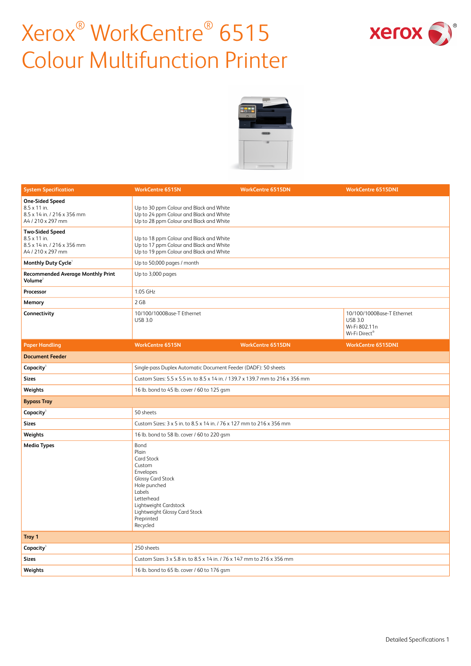



| <b>System Specification</b>                                                                       | <b>WorkCentre 6515N</b>                                                                                                                                                                                           | <b>WorkCentre 6515DN</b> | <b>WorkCentre 6515DNI</b>                                                      |
|---------------------------------------------------------------------------------------------------|-------------------------------------------------------------------------------------------------------------------------------------------------------------------------------------------------------------------|--------------------------|--------------------------------------------------------------------------------|
| <b>One-Sided Speed</b><br>8.5 x 11 in.<br>8.5 x 14 in. / 216 x 356 mm<br>A4 / 210 x 297 mm        | Up to 30 ppm Colour and Black and White<br>Up to 24 ppm Colour and Black and White<br>Up to 28 ppm Colour and Black and White                                                                                     |                          |                                                                                |
| <b>Two-Sided Speed</b><br>$8.5 \times 11$ in.<br>8.5 x 14 in. / 216 x 356 mm<br>A4 / 210 x 297 mm | Up to 18 ppm Colour and Black and White<br>Up to 17 ppm Colour and Black and White<br>Up to 19 ppm Colour and Black and White                                                                                     |                          |                                                                                |
| Monthly Duty Cycle <sup>1</sup>                                                                   | Up to 50,000 pages / month                                                                                                                                                                                        |                          |                                                                                |
| <b>Recommended Average Monthly Print</b><br>Volume $2$                                            | Up to 3,000 pages                                                                                                                                                                                                 |                          |                                                                                |
| Processor                                                                                         | 1.05 GHz                                                                                                                                                                                                          |                          |                                                                                |
| Memory                                                                                            | 2 GB                                                                                                                                                                                                              |                          |                                                                                |
| Connectivity                                                                                      | 10/100/1000Base-T Ethernet<br><b>USB 3.0</b>                                                                                                                                                                      |                          | 10/100/1000Base-T Ethernet<br><b>USB 3.0</b><br>Wi-Fi 802.11n<br>Wi-Fi Direct® |
| <b>Paper Handling</b>                                                                             | <b>WorkCentre 6515N</b>                                                                                                                                                                                           | <b>WorkCentre 6515DN</b> | <b>WorkCentre 6515DNI</b>                                                      |
| <b>Document Feeder</b>                                                                            |                                                                                                                                                                                                                   |                          |                                                                                |
| Capacity                                                                                          | Single-pass Duplex Automatic Document Feeder (DADF): 50 sheets                                                                                                                                                    |                          |                                                                                |
| <b>Sizes</b>                                                                                      | Custom Sizes: 5.5 x 5.5 in. to 8.5 x 14 in. / 139.7 x 139.7 mm to 216 x 356 mm                                                                                                                                    |                          |                                                                                |
| Weights                                                                                           | 16 lb. bond to 45 lb. cover / 60 to 125 gsm                                                                                                                                                                       |                          |                                                                                |
| <b>Bypass Tray</b>                                                                                |                                                                                                                                                                                                                   |                          |                                                                                |
| Capacity                                                                                          | 50 sheets                                                                                                                                                                                                         |                          |                                                                                |
| <b>Sizes</b>                                                                                      | Custom Sizes: 3 x 5 in. to 8.5 x 14 in. / 76 x 127 mm to 216 x 356 mm                                                                                                                                             |                          |                                                                                |
| Weights                                                                                           | 16 lb. bond to 58 lb. cover / 60 to 220 gsm                                                                                                                                                                       |                          |                                                                                |
| <b>Media Types</b>                                                                                | Bond<br>Plain<br><b>Card Stock</b><br>Custom<br>Envelopes<br><b>Glossy Card Stock</b><br>Hole punched<br>Labels<br>Letterhead<br>Lightweight Cardstock<br>Lightweight Glossy Card Stock<br>Preprinted<br>Recycled |                          |                                                                                |
| Tray 1                                                                                            |                                                                                                                                                                                                                   |                          |                                                                                |
| Capacity                                                                                          | 250 sheets                                                                                                                                                                                                        |                          |                                                                                |
| <b>Sizes</b>                                                                                      | Custom Sizes 3 x 5.8 in. to 8.5 x 14 in. / 76 x 147 mm to 216 x 356 mm                                                                                                                                            |                          |                                                                                |
| Weights                                                                                           | 16 lb. bond to 65 lb. cover / 60 to 176 gsm                                                                                                                                                                       |                          |                                                                                |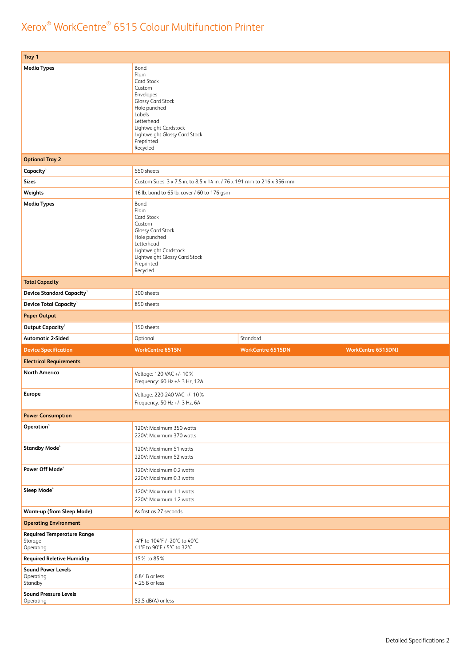| Tray 1                                                    |                                                                                                                                                                                                                   |                          |                           |
|-----------------------------------------------------------|-------------------------------------------------------------------------------------------------------------------------------------------------------------------------------------------------------------------|--------------------------|---------------------------|
| <b>Media Types</b>                                        | Bond<br>Plain<br><b>Card Stock</b><br>Custom<br>Envelopes<br><b>Glossy Card Stock</b><br>Hole punched<br>Labels<br>Letterhead<br>Lightweight Cardstock<br>Lightweight Glossy Card Stock<br>Preprinted<br>Recycled |                          |                           |
| <b>Optional Tray 2</b>                                    |                                                                                                                                                                                                                   |                          |                           |
| Capacity <sup>3</sup>                                     | 550 sheets                                                                                                                                                                                                        |                          |                           |
| <b>Sizes</b>                                              | Custom Sizes: 3 x 7.5 in. to 8.5 x 14 in. / 76 x 191 mm to 216 x 356 mm                                                                                                                                           |                          |                           |
| Weights                                                   | 16 lb. bond to 65 lb. cover / 60 to 176 gsm                                                                                                                                                                       |                          |                           |
| <b>Media Types</b>                                        | Bond<br>Plain<br><b>Card Stock</b><br>Custom<br><b>Glossy Card Stock</b><br>Hole punched<br>Letterhead<br>Lightweight Cardstock<br>Lightweight Glossy Card Stock<br>Preprinted<br>Recycled                        |                          |                           |
| <b>Total Capacity</b>                                     |                                                                                                                                                                                                                   |                          |                           |
| <b>Device Standard Capacity<sup>3</sup></b>               | 300 sheets                                                                                                                                                                                                        |                          |                           |
| <b>Device Total Capacity<sup>3</sup></b>                  | 850 sheets                                                                                                                                                                                                        |                          |                           |
| <b>Paper Output</b>                                       |                                                                                                                                                                                                                   |                          |                           |
| Output Capacity <sup>3</sup>                              | 150 sheets                                                                                                                                                                                                        |                          |                           |
|                                                           |                                                                                                                                                                                                                   |                          |                           |
| <b>Automatic 2-Sided</b>                                  | Optional                                                                                                                                                                                                          | Standard                 |                           |
| <b>Device Specification</b>                               | <b>WorkCentre 6515N</b>                                                                                                                                                                                           | <b>WorkCentre 6515DN</b> | <b>WorkCentre 6515DNI</b> |
| <b>Electrical Requirements</b>                            |                                                                                                                                                                                                                   |                          |                           |
| <b>North America</b>                                      | Voltage: 120 VAC +/- 10%<br>Frequency: 60 Hz +/- 3 Hz, 12A                                                                                                                                                        |                          |                           |
| <b>Europe</b>                                             | Voltage: 220-240 VAC +/- 10%<br>Frequency: $50$ Hz $+/-$ 3 Hz, 6A                                                                                                                                                 |                          |                           |
| <b>Power Consumption</b>                                  |                                                                                                                                                                                                                   |                          |                           |
| Operation <sup>4</sup>                                    | 120V: Maximum 350 watts<br>220V: Maximum 370 watts                                                                                                                                                                |                          |                           |
| Standby Mode <sup>4</sup>                                 | 120V: Maximum 51 watts<br>220V: Maximum 52 watts                                                                                                                                                                  |                          |                           |
| Power Off Mode <sup>4</sup>                               | 120V: Maximum 0.2 watts<br>220V: Maximum 0.3 watts                                                                                                                                                                |                          |                           |
| Sleep Mode <sup>4</sup>                                   | 120V: Maximum 1.1 watts<br>220V: Maximum 1.2 watts                                                                                                                                                                |                          |                           |
| <b>Warm-up (from Sleep Mode)</b>                          | As fast as 27 seconds                                                                                                                                                                                             |                          |                           |
| <b>Operating Environment</b>                              |                                                                                                                                                                                                                   |                          |                           |
| <b>Required Temperature Range</b><br>Storage<br>Operating | -4°F to 104°F / -20°C to 40°C<br>41°F to 90°F / 5°C to 32°C                                                                                                                                                       |                          |                           |
| <b>Required Reletive Humidity</b>                         | 15% to 85%                                                                                                                                                                                                        |                          |                           |
| <b>Sound Power Levels</b><br>Operating<br>Standby         | 6.84 B or less<br>4.25 B or less                                                                                                                                                                                  |                          |                           |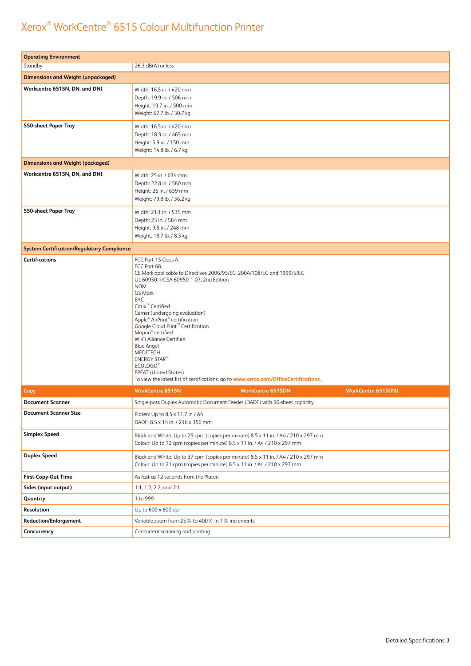| <b>Operating Environment</b>                      |                                                                                                                                                                                                                                                                                                                                                                                                                                                                                                                                                                                                              |                          |                           |
|---------------------------------------------------|--------------------------------------------------------------------------------------------------------------------------------------------------------------------------------------------------------------------------------------------------------------------------------------------------------------------------------------------------------------------------------------------------------------------------------------------------------------------------------------------------------------------------------------------------------------------------------------------------------------|--------------------------|---------------------------|
| Standby                                           | $26.3$ dB(A) or less                                                                                                                                                                                                                                                                                                                                                                                                                                                                                                                                                                                         |                          |                           |
| <b>Dimensions and Weight (unpackaged)</b>         |                                                                                                                                                                                                                                                                                                                                                                                                                                                                                                                                                                                                              |                          |                           |
| Workcentre 6515N, DN, and DNI                     | Width: 16.5 in. / 420 mm<br>Depth: 19.9 in. / 506 mm<br>Height: 19.7 in. / 500 mm<br>Weight: 67.7 lb. / 30.7 kg                                                                                                                                                                                                                                                                                                                                                                                                                                                                                              |                          |                           |
| 550-sheet Paper Tray                              | Width: 16.5 in. / 420 mm<br>Depth: 18.3 in. / 465 mm<br>Height: 5.9 in. / 150 mm<br>Weight: 14.8 lb. / 6.7 kg                                                                                                                                                                                                                                                                                                                                                                                                                                                                                                |                          |                           |
| <b>Dimensions and Weight (packaged)</b>           |                                                                                                                                                                                                                                                                                                                                                                                                                                                                                                                                                                                                              |                          |                           |
| Workcentre 6515N, DN, and DNI                     | Width: 25 in. / 634 mm<br>Depth: 22.8 in. / 580 mm<br>Height: 26 in. / 659 mm<br>Weight: 79.8 lb. / 36.2 kg                                                                                                                                                                                                                                                                                                                                                                                                                                                                                                  |                          |                           |
| 550-sheet Paper Tray                              | Width: 21.1 in. / 535 mm<br>Depth: 23 in. / 584 mm<br>Height: 9.8 in. / 248 mm<br>Weight: 18.7 lb. / 8.5 kg                                                                                                                                                                                                                                                                                                                                                                                                                                                                                                  |                          |                           |
| <b>System Certification/Regulatory Compliance</b> |                                                                                                                                                                                                                                                                                                                                                                                                                                                                                                                                                                                                              |                          |                           |
| <b>Certifications</b>                             | FCC Part 15 Class A<br>FCC Part 68<br>CE Mark applicable to Directives 2006/95/EC, 2004/108/EC and 1999/5/EC<br>UL 60950-1/CSA 60950-1-07, 2nd Edition<br><b>NOM</b><br><b>GS Mark</b><br>EAC<br>Citrix <sup>™</sup> Certified<br>Cerner (undergoing evaluation)<br>Apple® AirPrint® certification<br>Google Cloud Print <sup>™</sup> Certification<br>Mopria <sup>®</sup> certified<br>Wi-Fi Alliance Certified<br><b>Blue Angel</b><br>MEDITECH<br><b>ENERGY STAR®</b><br>ECOLOGO®<br><b>EPEAT (United States)</b><br>To view the latest list of certifications, go to www.xerox.com/OfficeCertifications. |                          |                           |
| Copy                                              | <b>WorkCentre 6515N</b>                                                                                                                                                                                                                                                                                                                                                                                                                                                                                                                                                                                      | <b>WorkCentre 6515DN</b> | <b>WorkCentre 6515DNI</b> |
| <b>Document Scanner</b>                           | Single-pass Duplex Automatic Document Feeder (DADF) with 50-sheet capacity                                                                                                                                                                                                                                                                                                                                                                                                                                                                                                                                   |                          |                           |
| <b>Document Scanner Size</b>                      | Platen: Up to 8.5 x 11.7 in / A4<br>DADF: 8.5 x 14 in. / 216 x 356 mm                                                                                                                                                                                                                                                                                                                                                                                                                                                                                                                                        |                          |                           |
| <b>Simplex Speed</b>                              | Black and White: Up to 25 cpm (copies per minute) 8.5 x 11 in. / A4 / 210 x 297 mm<br>Colour: Up to 12 cpm (copies per minute) 8.5 x 11 in. / A4 / 210 x 297 mm                                                                                                                                                                                                                                                                                                                                                                                                                                              |                          |                           |
| <b>Duplex Speed</b>                               | Black and White: Up to 37 cpm (copies per minute) 8.5 x 11 in. / A4 / 210 x 297 mm<br>Colour: Up to 21 cpm (copies per minute) 8.5 x 11 in. / A4 / 210 x 297 mm                                                                                                                                                                                                                                                                                                                                                                                                                                              |                          |                           |
| First-Copy-Out Time                               | As fast as 12 seconds from the Platen                                                                                                                                                                                                                                                                                                                                                                                                                                                                                                                                                                        |                          |                           |
| Sides (input:output)                              | 1:1, 1:2, 2:2, and 2:1                                                                                                                                                                                                                                                                                                                                                                                                                                                                                                                                                                                       |                          |                           |
| Quantity                                          | 1 to 999                                                                                                                                                                                                                                                                                                                                                                                                                                                                                                                                                                                                     |                          |                           |
| Resolution                                        | Up to 600 x 600 dpi                                                                                                                                                                                                                                                                                                                                                                                                                                                                                                                                                                                          |                          |                           |
| <b>Reduction/Enlargement</b>                      | Variable zoom from 25% to 400% in 1% increments                                                                                                                                                                                                                                                                                                                                                                                                                                                                                                                                                              |                          |                           |
| Concurrency                                       | Concurrent scanning and printing                                                                                                                                                                                                                                                                                                                                                                                                                                                                                                                                                                             |                          |                           |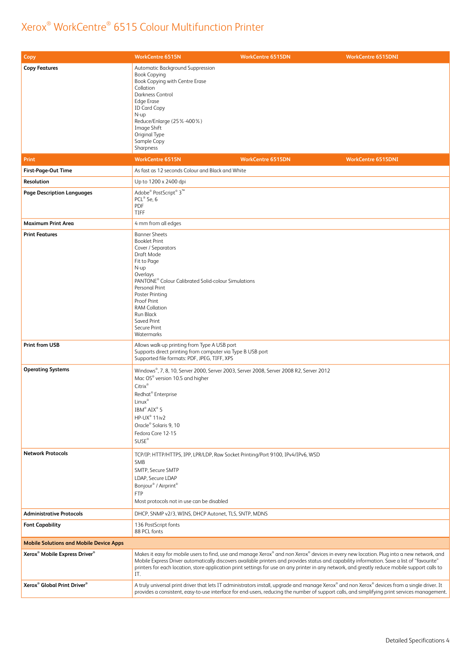| Copy                                                  | <b>WorkCentre 6515N</b>                                                                                                                                                                                                                                                                                          | <b>WorkCentre 6515DN</b>                                                                                                                                                                                                                                                                                                                                                                                                                  | <b>WorkCentre 6515DNI</b> |
|-------------------------------------------------------|------------------------------------------------------------------------------------------------------------------------------------------------------------------------------------------------------------------------------------------------------------------------------------------------------------------|-------------------------------------------------------------------------------------------------------------------------------------------------------------------------------------------------------------------------------------------------------------------------------------------------------------------------------------------------------------------------------------------------------------------------------------------|---------------------------|
| <b>Copy Features</b>                                  | Automatic Background Suppression<br><b>Book Copying</b><br>Book Copying with Centre Erase<br>Collation<br>Darkness Control<br><b>Edge Erase</b><br><b>ID Card Copy</b><br>N-up<br>Reduce/Enlarge (25%-400%)<br>Image Shift<br>Original Type<br>Sample Copy<br>Sharpness                                          |                                                                                                                                                                                                                                                                                                                                                                                                                                           |                           |
| Print                                                 | <b>WorkCentre 6515N</b>                                                                                                                                                                                                                                                                                          | <b>WorkCentre 6515DN</b>                                                                                                                                                                                                                                                                                                                                                                                                                  | <b>WorkCentre 6515DNI</b> |
| First-Page-Out Time                                   | As fast as 12 seconds Colour and Black and White                                                                                                                                                                                                                                                                 |                                                                                                                                                                                                                                                                                                                                                                                                                                           |                           |
| Resolution                                            | Up to 1200 x 2400 dpi                                                                                                                                                                                                                                                                                            |                                                                                                                                                                                                                                                                                                                                                                                                                                           |                           |
| <b>Page Description Languages</b>                     | Adobe® PostScript® 3™<br>PCL® 5e, 6<br>PDF<br><b>TIFF</b>                                                                                                                                                                                                                                                        |                                                                                                                                                                                                                                                                                                                                                                                                                                           |                           |
| <b>Maximum Print Area</b>                             | 4 mm from all edges                                                                                                                                                                                                                                                                                              |                                                                                                                                                                                                                                                                                                                                                                                                                                           |                           |
| <b>Print Features</b>                                 | <b>Banner Sheets</b><br><b>Booklet Print</b><br>Cover / Separators<br>Draft Mode<br>Fit to Page<br>N-up<br>Overlays<br>PANTONE® Colour Calibrated Solid-colour Simulations<br>Personal Print<br>Poster Printing<br>Proof Print<br><b>RAM Collation</b><br>Run Black<br>Saved Print<br>Secure Print<br>Watermarks |                                                                                                                                                                                                                                                                                                                                                                                                                                           |                           |
| <b>Print from USB</b>                                 | Allows walk-up printing from Type A USB port<br>Supports direct printing from computer via Type B USB port<br>Supported file formats: PDF, JPEG, TIFF, XPS                                                                                                                                                       |                                                                                                                                                                                                                                                                                                                                                                                                                                           |                           |
| <b>Operating Systems</b>                              | Mac OS® version 10.5 and higher<br>Citrix®<br>Redhat <sup>®</sup> Enterprise<br>Linux <sup>®</sup><br>IBM® AIX® 5<br>HP-UX® 11iv2<br>Oracle <sup>®</sup> Solaris 9, 10<br>Fedora Core 12-15<br>SUSE <sup>®</sup>                                                                                                 | Windows®, 7, 8, 10, Server 2000, Server 2003, Server 2008, Server 2008 R2, Server 2012                                                                                                                                                                                                                                                                                                                                                    |                           |
| <b>Network Protocols</b>                              | <b>SMB</b><br>SMTP, Secure SMTP<br>LDAP, Secure LDAP<br>Bonjour <sup>®</sup> / Airprint <sup>®</sup><br><b>FTP</b><br>Most protocols not in use can be disabled                                                                                                                                                  | TCP/IP: HTTP/HTTPS, IPP, LPR/LDP, Raw Socket Printing/Port 9100, IPv4/IPv6, WSD                                                                                                                                                                                                                                                                                                                                                           |                           |
| <b>Administrative Protocols</b>                       | DHCP, SNMP v2/3, WINS, DHCP Autonet, TLS, SNTP, MDNS                                                                                                                                                                                                                                                             |                                                                                                                                                                                                                                                                                                                                                                                                                                           |                           |
| <b>Font Capability</b>                                | 136 PostScript fonts<br>88 PCL fonts                                                                                                                                                                                                                                                                             |                                                                                                                                                                                                                                                                                                                                                                                                                                           |                           |
| <b>Mobile Solutions and Mobile Device Apps</b>        |                                                                                                                                                                                                                                                                                                                  |                                                                                                                                                                                                                                                                                                                                                                                                                                           |                           |
| Xerox <sup>®</sup> Mobile Express Driver <sup>®</sup> | IT.                                                                                                                                                                                                                                                                                                              | Makes it easy for mobile users to find, use and manage Xerox® and non Xerox® devices in every new location. Plug into a new network, and<br>Mobile Express Driver automatically discovers available printers and provides status and capability information. Save a list of "favourite"<br>printers for each location, store application print settings for use on any printer in any network, and greatly reduce mobile support calls to |                           |
| Xerox <sup>®</sup> Global Print Driver <sup>®</sup>   |                                                                                                                                                                                                                                                                                                                  | A truly universal print driver that lets IT administrators install, upgrade and manage Xerox® and non Xerox® devices from a single driver. It<br>provides a consistent, easy-to-use interface for end-users, reducing the number of support calls, and simplifying print services management.                                                                                                                                             |                           |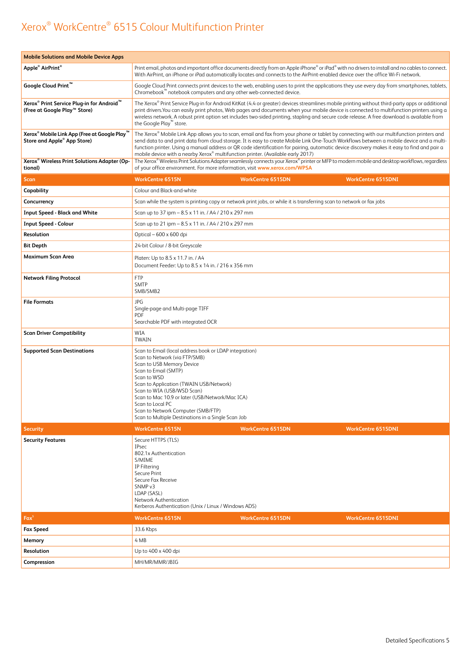| <b>Mobile Solutions and Mobile Device Apps</b>                                                    |                                                                                                                                                                                                                                                                                                                                                                                                                                                                                                                          |
|---------------------------------------------------------------------------------------------------|--------------------------------------------------------------------------------------------------------------------------------------------------------------------------------------------------------------------------------------------------------------------------------------------------------------------------------------------------------------------------------------------------------------------------------------------------------------------------------------------------------------------------|
| Apple <sup>®</sup> AirPrint <sup>®</sup>                                                          | Print email, photos and important office documents directly from an Apple iPhone® or iPad® with no drivers to install and no cables to connect.<br>With AirPrint, an iPhone or iPad automatically locates and connects to the AirPrint-enabled device over the office Wi-Fi network.                                                                                                                                                                                                                                     |
| Google Cloud Print <sup>™</sup>                                                                   | Google Cloud Print connects print devices to the web, enabling users to print the applications they use every day from smartphones, tablets,<br>Chromebook <sup>™</sup> notebook computers and any other web-connected device.                                                                                                                                                                                                                                                                                           |
| Xerox <sup>®</sup> Print Service Plug-in for Android <sup>™</sup><br>(Free at Google Play™ Store) | The Xerox® Print Service Plug-in for Android KitKat (4.4 or greater) devices streamlines mobile printing without third-party apps or additional<br>print drivers. You can easily print photos, Web pages and documents when your mobile device is connected to multifunction printers using a<br>wireless network. A robust print option set includes two-sided printing, stapling and secure code release. A free download is available from<br>the Google Play™ store.                                                 |
| Xerox <sup>®</sup> Mobile Link App (Free at Google Play)<br>Store and Apple® App Store)           | The Xerox® Mobile Link App allows you to scan, email and fax from your phone or tablet by connecting with our multifunction printers and<br>send data to and print data from cloud storage. It is easy to create Mobile Link One-Touch Workflows between a mobile device and a multi-<br>function printer. Using a manual address or QR code identification for pairing, automatic device discovery makes it easy to find and pair a<br>mobile device with a nearby Xerox® multifunction printer. (Available early 2017) |
| Xerox <sup>®</sup> Wireless Print Solutions Adapter (Op-<br>tional)                               | The Xerox® Wireless Print Solutions Adapter seamlessly connects your Xerox® printer or MFP to modern mobile and desktop workflows, regardless<br>of your office environment. For more information, visit www.xerox.com/WPSA                                                                                                                                                                                                                                                                                              |
| Scan                                                                                              | <b>WorkCentre 6515N</b><br><b>WorkCentre 6515DN</b><br><b>WorkCentre 6515DNI</b>                                                                                                                                                                                                                                                                                                                                                                                                                                         |
| Capability                                                                                        | Colour and Black-and-white                                                                                                                                                                                                                                                                                                                                                                                                                                                                                               |
| Concurrency                                                                                       | Scan while the system is printing copy or network print jobs, or while it is transferring scan to network or fax jobs                                                                                                                                                                                                                                                                                                                                                                                                    |
| <b>Input Speed - Black and White</b>                                                              | Scan up to 37 ipm - 8.5 x 11 in. / A4 / 210 x 297 mm                                                                                                                                                                                                                                                                                                                                                                                                                                                                     |
| <b>Input Speed - Colour</b>                                                                       | Scan up to 21 ipm - 8.5 x 11 in. / A4 / 210 x 297 mm                                                                                                                                                                                                                                                                                                                                                                                                                                                                     |
| Resolution                                                                                        | Optical - 600 x 600 dpi                                                                                                                                                                                                                                                                                                                                                                                                                                                                                                  |
| <b>Bit Depth</b>                                                                                  | 24-bit Colour / 8-bit Greyscale                                                                                                                                                                                                                                                                                                                                                                                                                                                                                          |
| Maximum Scan Area                                                                                 | Platen: Up to 8.5 x 11.7 in. / A4<br>Document Feeder: Up to 8.5 x 14 in. / 216 x 356 mm                                                                                                                                                                                                                                                                                                                                                                                                                                  |
| <b>Network Filing Protocol</b>                                                                    | <b>FTP</b><br><b>SMTP</b><br>SMB/SMB2                                                                                                                                                                                                                                                                                                                                                                                                                                                                                    |
| <b>File Formats</b>                                                                               | JPG<br>Single-page and Multi-page TIFF<br><b>PDF</b><br>Searchable PDF with integrated OCR                                                                                                                                                                                                                                                                                                                                                                                                                               |
| <b>Scan Driver Compatibility</b>                                                                  | WIA<br><b>TWAIN</b>                                                                                                                                                                                                                                                                                                                                                                                                                                                                                                      |
| <b>Supported Scan Destinations</b>                                                                | Scan to Email (local address book or LDAP integration)<br>Scan to Network (via FTP/SMB)<br>Scan to USB Memory Device<br>Scan to Email (SMTP)<br>Scan to WSD<br>Scan to Application (TWAIN USB/Network)<br>Scan to WIA (USB/WSD Scan)<br>Scan to Mac 10.9 or later (USB/Network/Mac ICA)<br>Scan to Local PC<br>Scan to Network Computer (SMB/FTP)<br>Scan to Multiple Destinations in a Single Scan Job                                                                                                                  |
| <b>Security</b>                                                                                   | <b>WorkCentre 6515N</b><br><b>WorkCentre 6515DN</b><br><b>WorkCentre 6515DNI</b>                                                                                                                                                                                                                                                                                                                                                                                                                                         |
| <b>Security Features</b>                                                                          | Secure HTTPS (TLS)<br><b>IPsec</b><br>802.1x Authentication<br>S/MIMF<br>IP Filtering<br>Secure Print<br>Secure Fax Receive<br>SNMP <sub>v3</sub><br>LDAP (SASL)<br>Network Authentication<br>Kerberos Authentication (Unix / Linux / Windows ADS)                                                                                                                                                                                                                                                                       |
| $Fax^5$                                                                                           | <b>WorkCentre 6515DN</b><br><b>WorkCentre 6515N</b><br><b>WorkCentre 6515DNI</b>                                                                                                                                                                                                                                                                                                                                                                                                                                         |
| <b>Fax Speed</b>                                                                                  | 33.6 Kbps                                                                                                                                                                                                                                                                                                                                                                                                                                                                                                                |
| Memory                                                                                            | 4 MB                                                                                                                                                                                                                                                                                                                                                                                                                                                                                                                     |
| Resolution                                                                                        | Up to 400 x 400 dpi                                                                                                                                                                                                                                                                                                                                                                                                                                                                                                      |
| Compression                                                                                       | MH/MR/MMR/JBIG                                                                                                                                                                                                                                                                                                                                                                                                                                                                                                           |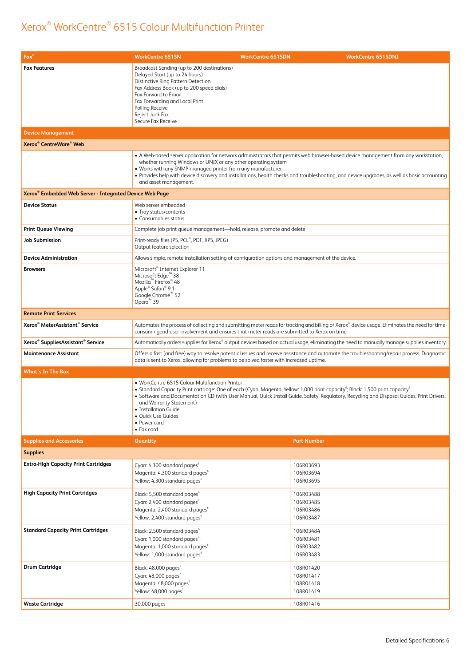| $Fax^5$                                                             | <b>WorkCentre 6515N</b><br><b>WorkCentre 6515DN</b>                                                                                                                                                                                                                                                                                                                                                                                                                 |                                                  | <b>WorkCentre 6515DNI</b> |
|---------------------------------------------------------------------|---------------------------------------------------------------------------------------------------------------------------------------------------------------------------------------------------------------------------------------------------------------------------------------------------------------------------------------------------------------------------------------------------------------------------------------------------------------------|--------------------------------------------------|---------------------------|
| <b>Fax Features</b>                                                 | Broadcast Sending (up to 200 destinations)<br>Delayed Start (up to 24 hours)<br>Distinctive Ring Pattern Detection<br>Fax Address Book (up to 200 speed dials)<br>Fax Forward to Email<br>Fax Forwarding and Local Print<br>Polling Receive<br>Reject Junk Fax<br>Secure Fax Receive                                                                                                                                                                                |                                                  |                           |
| <b>Device Management</b>                                            |                                                                                                                                                                                                                                                                                                                                                                                                                                                                     |                                                  |                           |
| <b>Xerox<sup>®</sup></b> CentreWare <sup>®</sup> Web                |                                                                                                                                                                                                                                                                                                                                                                                                                                                                     |                                                  |                           |
|                                                                     | • A Web-based server application for network administrators that permits web browser-based device management from any workstation,<br>whether running Windows or UNIX or any other operating system<br>. Works with any SNMP-managed printer from any manufacturer<br>• Provides help with device discovery and installations, health checks and troubleshooting, and device upgrades, as well as basic accounting<br>and asset management.                         |                                                  |                           |
| Xerox <sup>®</sup> Embedded Web Server - Integrated Device Web Page |                                                                                                                                                                                                                                                                                                                                                                                                                                                                     |                                                  |                           |
| <b>Device Status</b>                                                | Web server embedded<br>• Tray status/contents<br>• Consumables status                                                                                                                                                                                                                                                                                                                                                                                               |                                                  |                           |
| <b>Print Queue Viewing</b>                                          | Complete job print queue management-hold, release, promote and delete                                                                                                                                                                                                                                                                                                                                                                                               |                                                  |                           |
| <b>Job Submission</b>                                               | Print-ready files (PS, PCL®, PDF, XPS, JPEG)<br>Output feature selection                                                                                                                                                                                                                                                                                                                                                                                            |                                                  |                           |
| <b>Device Administration</b>                                        | Allows simple, remote installation setting of configuration options and management of the device.                                                                                                                                                                                                                                                                                                                                                                   |                                                  |                           |
| <b>Browsers</b>                                                     | Microsoft <sup>®</sup> Internet Explorer 11<br>Microsoft Edge <sup>™</sup> 38<br>Mozilla <sup>™</sup> Firefox <sup>®</sup> 48<br>Apple® Safari® 9.1<br>Google Chrome™ 52<br>Opera <sup>™</sup> 39                                                                                                                                                                                                                                                                   |                                                  |                           |
| <b>Remote Print Services</b>                                        |                                                                                                                                                                                                                                                                                                                                                                                                                                                                     |                                                  |                           |
| Xerox <sup>®</sup> MeterAssistant <sup>®</sup> Service              | Automates the process of collecting and submitting meter reads for tracking and billing of Xerox® device usage. Eliminates the need for time-<br>consumingend-user involvement and ensures that meter reads are submitted to Xerox on time.                                                                                                                                                                                                                         |                                                  |                           |
| Xerox <sup>®</sup> SuppliesAssistant <sup>®</sup> Service           | Automatically orders supplies for Xerox® output devices based on actual usage, eliminating the need to manually manage supplies inventory.                                                                                                                                                                                                                                                                                                                          |                                                  |                           |
| <b>Maintenance Assistant</b>                                        | Offers a fast (and free) way to resolve potential issues and receive assistance and automate the troubleshooting/repair process. Diagnostic<br>data is sent to Xerox, allowing for problems to be solved faster with increased uptime.                                                                                                                                                                                                                              |                                                  |                           |
| <b>What's In The Box</b>                                            |                                                                                                                                                                                                                                                                                                                                                                                                                                                                     |                                                  |                           |
|                                                                     | • WorkCentre 6515 Colour Multifunction Printer<br>• Standard Capacity Print cartridge: One of each (Cyan, Magenta, Yellow: 1,000 print capacity <sup>6</sup> ; Black: 1,500 print capacity <sup>6</sup><br>. Software and Documentation CD (with User Manual, Quick Install Guide, Safety, Regulatory, Recycling and Disposal Guides, Print Drivers,<br>and Warranty Statement)<br>• Installation Guide<br>· Quick Use Guides<br>• Power cord<br>$\bullet$ Fax cord |                                                  |                           |
| <b>Supplies and Accessories</b>                                     | Quantity                                                                                                                                                                                                                                                                                                                                                                                                                                                            | <b>Part Number</b>                               |                           |
| <b>Supplies</b>                                                     |                                                                                                                                                                                                                                                                                                                                                                                                                                                                     |                                                  |                           |
| <b>Extra-High Capacity Print Cartridges</b>                         | Cyan: 4,300 standard pages <sup>6</sup><br>Magenta: 4,300 standard pages <sup>6</sup><br>Yellow: 4,300 standard pages <sup>6</sup>                                                                                                                                                                                                                                                                                                                                  | 106R03693<br>106R03694<br>106R03695              |                           |
| <b>High Capacity Print Cartridges</b>                               | Black: 5,500 standard pages <sup>6</sup><br>Cyan: 2,400 standard pages <sup>6</sup><br>Magenta: 2,400 standard pages <sup>6</sup><br>Yellow: 2,400 standard pages <sup>6</sup>                                                                                                                                                                                                                                                                                      | 106R03488<br>106R03485<br>106R03486<br>106R03487 |                           |
| <b>Standard Capacity Print Cartridges</b>                           | Black: 2,500 standard pages <sup>6</sup><br>Cyan: 1,000 standard pages <sup>6</sup><br>Magenta: 1,000 standard pages <sup>6</sup><br>Yellow: 1,000 standard pages <sup>6</sup>                                                                                                                                                                                                                                                                                      | 106R03484<br>106R03481<br>106R03482<br>106R03483 |                           |
| <b>Drum Cartridge</b>                                               | Black: 48,000 pages <sup>7</sup><br>Cyan: 48,000 pages <sup>7</sup><br>Magenta: 48,000 pages <sup>7</sup><br>Yellow: 48,000 pages <sup>7</sup>                                                                                                                                                                                                                                                                                                                      | 108R01420<br>108R01417<br>108R01418<br>108R01419 |                           |
| <b>Waste Cartridge</b>                                              | 30,000 pages                                                                                                                                                                                                                                                                                                                                                                                                                                                        | 108R01416                                        |                           |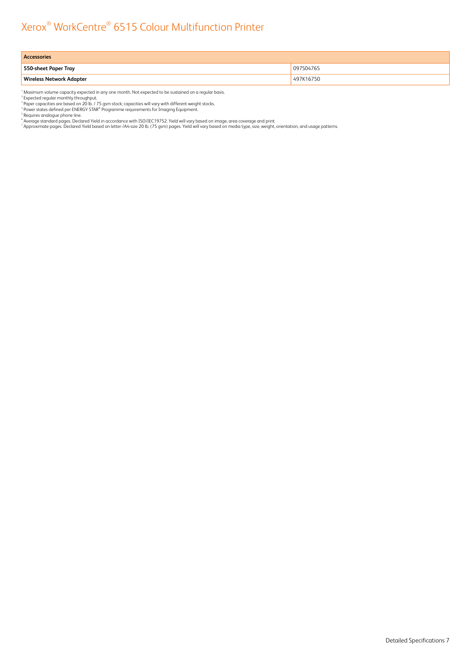| <b>Accessories</b>              |           |  |
|---------------------------------|-----------|--|
| 550-sheet Paper Tray            | 097S04765 |  |
| <b>Wireless Network Adapter</b> | 497K16750 |  |

<sup>1</sup> Maximum volume capacity expected in any one month. Not expected to be sustained on a regular basis.<br><sup>2</sup> Expected regular monthly throughput.<br><sup>4</sup> Paper capacities are based on 20 lb. / 75 gsm stock; capacities will vary